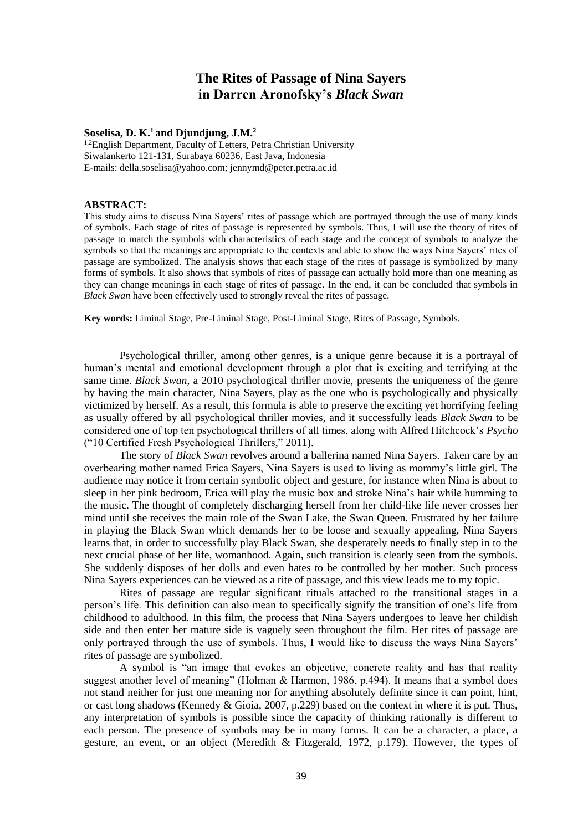# **The Rites of Passage of Nina Sayers in Darren Aronofsky's** *Black Swan*

### **Soselisa, D. K.<sup>1</sup> and Djundjung, J.M.<sup>2</sup>**

<sup>1,2</sup>English Department, Faculty of Letters, Petra Christian University Siwalankerto 121-131, Surabaya 60236, East Java, Indonesia E-mails: della.soselisa@yahoo.com; jennymd@peter.petra.ac.id

#### **ABSTRACT:**

This study aims to discuss Nina Sayers' rites of passage which are portrayed through the use of many kinds of symbols. Each stage of rites of passage is represented by symbols. Thus, I will use the theory of rites of passage to match the symbols with characteristics of each stage and the concept of symbols to analyze the symbols so that the meanings are appropriate to the contexts and able to show the ways Nina Sayers' rites of passage are symbolized. The analysis shows that each stage of the rites of passage is symbolized by many forms of symbols. It also shows that symbols of rites of passage can actually hold more than one meaning as they can change meanings in each stage of rites of passage. In the end, it can be concluded that symbols in *Black Swan* have been effectively used to strongly reveal the rites of passage.

**Key words:** Liminal Stage, Pre-Liminal Stage, Post-Liminal Stage, Rites of Passage, Symbols.

Psychological thriller, among other genres, is a unique genre because it is a portrayal of human's mental and emotional development through a plot that is exciting and terrifying at the same time. *Black Swan*, a 2010 psychological thriller movie, presents the uniqueness of the genre by having the main character, Nina Sayers, play as the one who is psychologically and physically victimized by herself. As a result, this formula is able to preserve the exciting yet horrifying feeling as usually offered by all psychological thriller movies, and it successfully leads *Black Swan* to be considered one of top ten psychological thrillers of all times, along with Alfred Hitchcock's *Psycho* ("10 Certified Fresh Psychological Thrillers," 2011).

The story of *Black Swan* revolves around a ballerina named Nina Sayers. Taken care by an overbearing mother named Erica Sayers, Nina Sayers is used to living as mommy's little girl. The audience may notice it from certain symbolic object and gesture, for instance when Nina is about to sleep in her pink bedroom, Erica will play the music box and stroke Nina's hair while humming to the music. The thought of completely discharging herself from her child-like life never crosses her mind until she receives the main role of the Swan Lake, the Swan Queen. Frustrated by her failure in playing the Black Swan which demands her to be loose and sexually appealing, Nina Sayers learns that, in order to successfully play Black Swan, she desperately needs to finally step in to the next crucial phase of her life, womanhood. Again, such transition is clearly seen from the symbols. She suddenly disposes of her dolls and even hates to be controlled by her mother. Such process Nina Sayers experiences can be viewed as a rite of passage, and this view leads me to my topic.

Rites of passage are regular significant rituals attached to the transitional stages in a person's life. This definition can also mean to specifically signify the transition of one's life from childhood to adulthood. In this film, the process that Nina Sayers undergoes to leave her childish side and then enter her mature side is vaguely seen throughout the film. Her rites of passage are only portrayed through the use of symbols. Thus, I would like to discuss the ways Nina Sayers' rites of passage are symbolized.

A symbol is "an image that evokes an objective, concrete reality and has that reality suggest another level of meaning" (Holman & Harmon, 1986, p.494). It means that a symbol does not stand neither for just one meaning nor for anything absolutely definite since it can point, hint, or cast long shadows (Kennedy & Gioia, 2007, p.229) based on the context in where it is put. Thus, any interpretation of symbols is possible since the capacity of thinking rationally is different to each person. The presence of symbols may be in many forms. It can be a character, a place, a gesture, an event, or an object (Meredith & Fitzgerald, 1972, p.179). However, the types of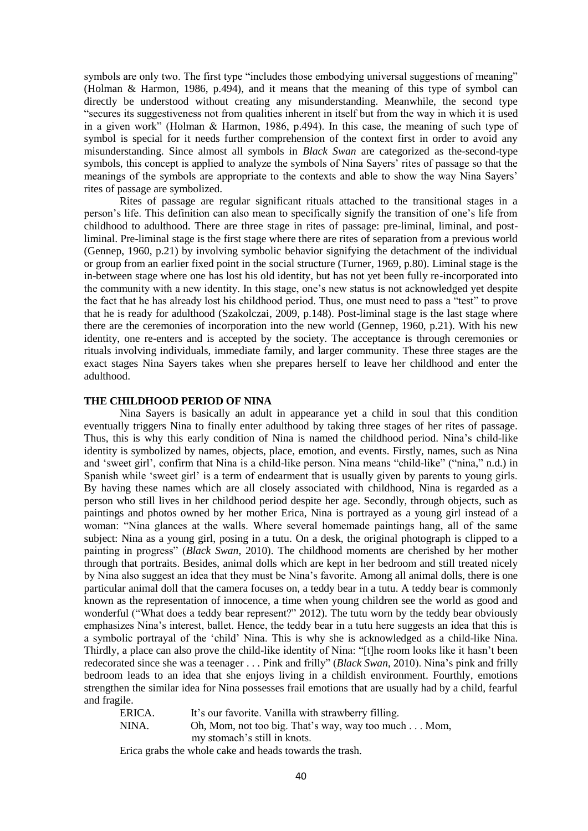symbols are only two. The first type "includes those embodying universal suggestions of meaning" (Holman & Harmon, 1986, p.494), and it means that the meaning of this type of symbol can directly be understood without creating any misunderstanding. Meanwhile, the second type "secures its suggestiveness not from qualities inherent in itself but from the way in which it is used in a given work" (Holman & Harmon, 1986, p.494). In this case, the meaning of such type of symbol is special for it needs further comprehension of the context first in order to avoid any misunderstanding. Since almost all symbols in *Black Swan* are categorized as the-second-type symbols, this concept is applied to analyze the symbols of Nina Sayers' rites of passage so that the meanings of the symbols are appropriate to the contexts and able to show the way Nina Sayers' rites of passage are symbolized.

Rites of passage are regular significant rituals attached to the transitional stages in a person's life. This definition can also mean to specifically signify the transition of one's life from childhood to adulthood. There are three stage in rites of passage: pre-liminal, liminal, and postliminal. Pre-liminal stage is the first stage where there are rites of separation from a previous world (Gennep, 1960, p.21) by involving symbolic behavior signifying the detachment of the individual or group from an earlier fixed point in the social structure (Turner, 1969, p.80). Liminal stage is the in-between stage where one has lost his old identity, but has not yet been fully re-incorporated into the community with a new identity. In this stage, one's new status is not acknowledged yet despite the fact that he has already lost his childhood period. Thus, one must need to pass a "test" to prove that he is ready for adulthood (Szakolczai, 2009, p.148). Post-liminal stage is the last stage where there are the ceremonies of incorporation into the new world (Gennep, 1960, p.21). With his new identity, one re-enters and is accepted by the society. The acceptance is through ceremonies or rituals involving individuals, immediate family, and larger community. These three stages are the exact stages Nina Sayers takes when she prepares herself to leave her childhood and enter the adulthood.

### **THE CHILDHOOD PERIOD OF NINA**

Nina Sayers is basically an adult in appearance yet a child in soul that this condition eventually triggers Nina to finally enter adulthood by taking three stages of her rites of passage. Thus, this is why this early condition of Nina is named the childhood period. Nina's child-like identity is symbolized by names, objects, place, emotion, and events. Firstly, names, such as Nina and 'sweet girl', confirm that Nina is a child-like person. Nina means "child-like" ("nina," n.d.) in Spanish while 'sweet girl' is a term of endearment that is usually given by parents to young girls. By having these names which are all closely associated with childhood, Nina is regarded as a person who still lives in her childhood period despite her age. Secondly, through objects, such as paintings and photos owned by her mother Erica, Nina is portrayed as a young girl instead of a woman: "Nina glances at the walls. Where several homemade paintings hang, all of the same subject: Nina as a young girl, posing in a tutu. On a desk, the original photograph is clipped to a painting in progress" (*Black Swan*, 2010). The childhood moments are cherished by her mother through that portraits. Besides, animal dolls which are kept in her bedroom and still treated nicely by Nina also suggest an idea that they must be Nina's favorite. Among all animal dolls, there is one particular animal doll that the camera focuses on, a teddy bear in a tutu. A teddy bear is commonly known as the representation of innocence, a time when young children see the world as good and wonderful ("What does a teddy bear represent?" 2012). The tutu worn by the teddy bear obviously emphasizes Nina's interest, ballet. Hence, the teddy bear in a tutu here suggests an idea that this is a symbolic portrayal of the 'child' Nina. This is why she is acknowledged as a child-like Nina. Thirdly, a place can also prove the child-like identity of Nina: "[t]he room looks like it hasn't been redecorated since she was a teenager . . . Pink and frilly" (*Black Swan*, 2010). Nina's pink and frilly bedroom leads to an idea that she enjoys living in a childish environment. Fourthly, emotions strengthen the similar idea for Nina possesses frail emotions that are usually had by a child, fearful and fragile.

ERICA. It's our favorite. Vanilla with strawberry filling. NINA. Oh, Mom, not too big. That's way, way too much . . . Mom, my stomach's still in knots.

Erica grabs the whole cake and heads towards the trash.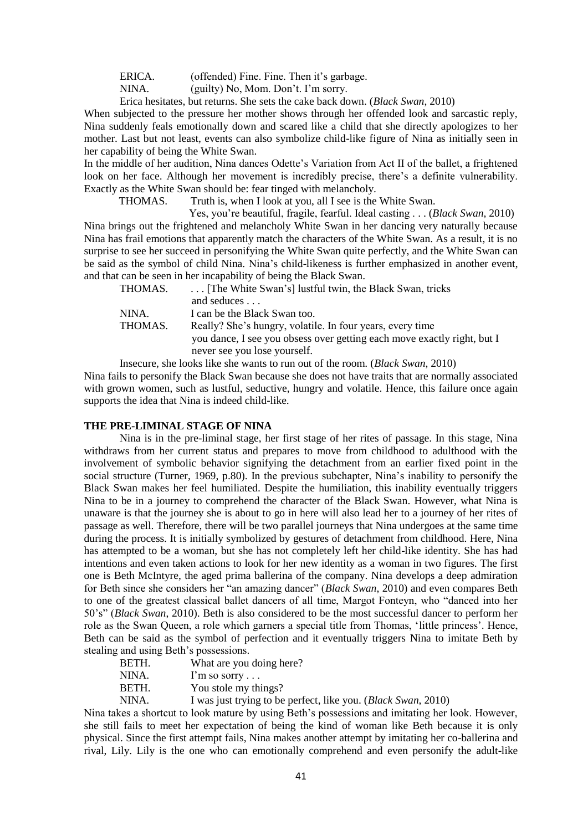ERICA. (offended) Fine. Fine. Then it's garbage.

NINA. (guilty) No, Mom. Don't. I'm sorry.

Erica hesitates, but returns. She sets the cake back down. (*Black Swan*, 2010)

When subjected to the pressure her mother shows through her offended look and sarcastic reply, Nina suddenly feals emotionally down and scared like a child that she directly apologizes to her mother. Last but not least, events can also symbolize child-like figure of Nina as initially seen in her capability of being the White Swan.

In the middle of her audition, Nina dances Odette's Variation from Act II of the ballet, a frightened look on her face. Although her movement is incredibly precise, there's a definite vulnerability. Exactly as the White Swan should be: fear tinged with melancholy.

THOMAS. Truth is, when I look at you, all I see is the White Swan.

Yes, you're beautiful, fragile, fearful. Ideal casting . . . (*Black Swan*, 2010)

Nina brings out the frightened and melancholy White Swan in her dancing very naturally because Nina has frail emotions that apparently match the characters of the White Swan. As a result, it is no surprise to see her succeed in personifying the White Swan quite perfectly, and the White Swan can be said as the symbol of child Nina. Nina's child-likeness is further emphasized in another event, and that can be seen in her incapability of being the Black Swan.

| THOMAS. | [The White Swan's] lustful twin, the Black Swan, tricks                 |
|---------|-------------------------------------------------------------------------|
|         | and seduces                                                             |
| NINA.   | I can be the Black Swan too.                                            |
| THOMAS. | Really? She's hungry, volatile. In four years, every time               |
|         | you dance, I see you obsess over getting each move exactly right, but I |
|         | never see you lose yourself.                                            |

Insecure, she looks like she wants to run out of the room. (*Black Swan*, 2010)

Nina fails to personify the Black Swan because she does not have traits that are normally associated with grown women, such as lustful, seductive, hungry and volatile. Hence, this failure once again supports the idea that Nina is indeed child-like.

### **THE PRE-LIMINAL STAGE OF NINA**

Nina is in the pre-liminal stage, her first stage of her rites of passage. In this stage, Nina withdraws from her current status and prepares to move from childhood to adulthood with the involvement of symbolic behavior signifying the detachment from an earlier fixed point in the social structure (Turner, 1969, p.80). In the previous subchapter, Nina's inability to personify the Black Swan makes her feel humiliated. Despite the humiliation, this inability eventually triggers Nina to be in a journey to comprehend the character of the Black Swan. However, what Nina is unaware is that the journey she is about to go in here will also lead her to a journey of her rites of passage as well. Therefore, there will be two parallel journeys that Nina undergoes at the same time during the process. It is initially symbolized by gestures of detachment from childhood. Here, Nina has attempted to be a woman, but she has not completely left her child-like identity. She has had intentions and even taken actions to look for her new identity as a woman in two figures. The first one is Beth McIntyre, the aged prima ballerina of the company. Nina develops a deep admiration for Beth since she considers her "an amazing dancer" (*Black Swan*, 2010) and even compares Beth to one of the greatest classical ballet dancers of all time, Margot Fonteyn, who "danced into her 50's" (*Black Swan*, 2010). Beth is also considered to be the most successful dancer to perform her role as the Swan Queen, a role which garners a special title from Thomas, 'little princess'. Hence, Beth can be said as the symbol of perfection and it eventually triggers Nina to imitate Beth by stealing and using Beth's possessions.

| BETH. | What are you doing here?                                              |
|-------|-----------------------------------------------------------------------|
| NINA. | $1'm$ so sorry                                                        |
| BETH. | You stole my things?                                                  |
| NINA. | I was just trying to be perfect, like you. <i>(Black Swan</i> , 2010) |

Nina takes a shortcut to look mature by using Beth's possessions and imitating her look. However, she still fails to meet her expectation of being the kind of woman like Beth because it is only physical. Since the first attempt fails, Nina makes another attempt by imitating her co-ballerina and rival, Lily. Lily is the one who can emotionally comprehend and even personify the adult-like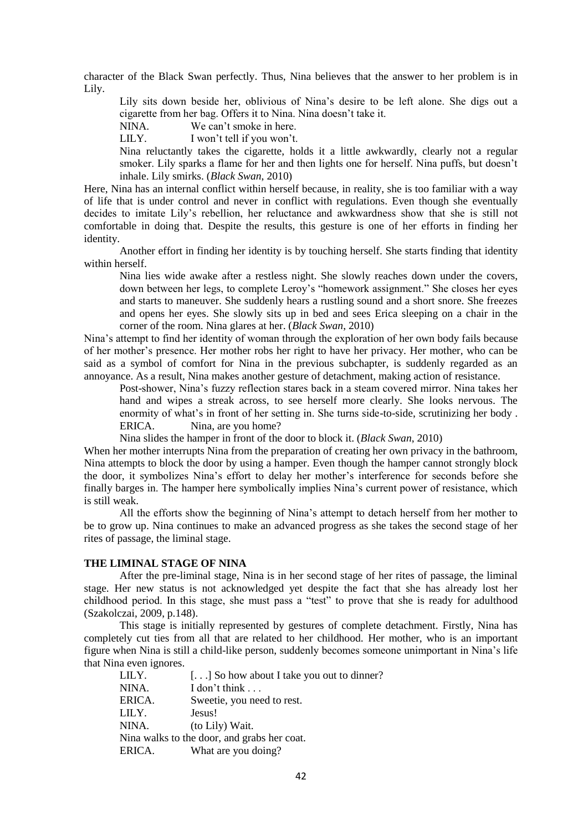character of the Black Swan perfectly. Thus, Nina believes that the answer to her problem is in Lily.

Lily sits down beside her, oblivious of Nina's desire to be left alone. She digs out a cigarette from her bag. Offers it to Nina. Nina doesn't take it.

NINA. We can't smoke in here.

LILY. I won't tell if you won't.

Nina reluctantly takes the cigarette, holds it a little awkwardly, clearly not a regular smoker. Lily sparks a flame for her and then lights one for herself. Nina puffs, but doesn't inhale. Lily smirks. (*Black Swan*, 2010)

Here, Nina has an internal conflict within herself because, in reality, she is too familiar with a way of life that is under control and never in conflict with regulations. Even though she eventually decides to imitate Lily's rebellion, her reluctance and awkwardness show that she is still not comfortable in doing that. Despite the results, this gesture is one of her efforts in finding her identity.

Another effort in finding her identity is by touching herself. She starts finding that identity within herself.

Nina lies wide awake after a restless night. She slowly reaches down under the covers, down between her legs, to complete Leroy's "homework assignment." She closes her eyes and starts to maneuver. She suddenly hears a rustling sound and a short snore. She freezes and opens her eyes. She slowly sits up in bed and sees Erica sleeping on a chair in the corner of the room. Nina glares at her. (*Black Swan*, 2010)

Nina's attempt to find her identity of woman through the exploration of her own body fails because of her mother's presence. Her mother robs her right to have her privacy. Her mother, who can be said as a symbol of comfort for Nina in the previous subchapter, is suddenly regarded as an annoyance. As a result, Nina makes another gesture of detachment, making action of resistance.

Post-shower, Nina's fuzzy reflection stares back in a steam covered mirror. Nina takes her hand and wipes a streak across, to see herself more clearly. She looks nervous. The enormity of what's in front of her setting in. She turns side-to-side, scrutinizing her body . ERICA. Nina, are you home?

Nina slides the hamper in front of the door to block it. (*Black Swan*, 2010)

When her mother interrupts Nina from the preparation of creating her own privacy in the bathroom, Nina attempts to block the door by using a hamper. Even though the hamper cannot strongly block the door, it symbolizes Nina's effort to delay her mother's interference for seconds before she finally barges in. The hamper here symbolically implies Nina's current power of resistance, which is still weak.

All the efforts show the beginning of Nina's attempt to detach herself from her mother to be to grow up. Nina continues to make an advanced progress as she takes the second stage of her rites of passage, the liminal stage.

#### **THE LIMINAL STAGE OF NINA**

After the pre-liminal stage, Nina is in her second stage of her rites of passage, the liminal stage. Her new status is not acknowledged yet despite the fact that she has already lost her childhood period. In this stage, she must pass a "test" to prove that she is ready for adulthood (Szakolczai, 2009, p.148).

This stage is initially represented by gestures of complete detachment. Firstly, Nina has completely cut ties from all that are related to her childhood. Her mother, who is an important figure when Nina is still a child-like person, suddenly becomes someone unimportant in Nina's life that Nina even ignores.

| LILY.  | [] So how about I take you out to dinner?   |
|--------|---------------------------------------------|
| NINA.  | I don't think                               |
| ERICA. | Sweetie, you need to rest.                  |
| LILY.  | Jesus!                                      |
| NINA.  | (to Lily) Wait.                             |
|        | Nina walks to the door, and grabs her coat. |
| ERICA. | What are you doing?                         |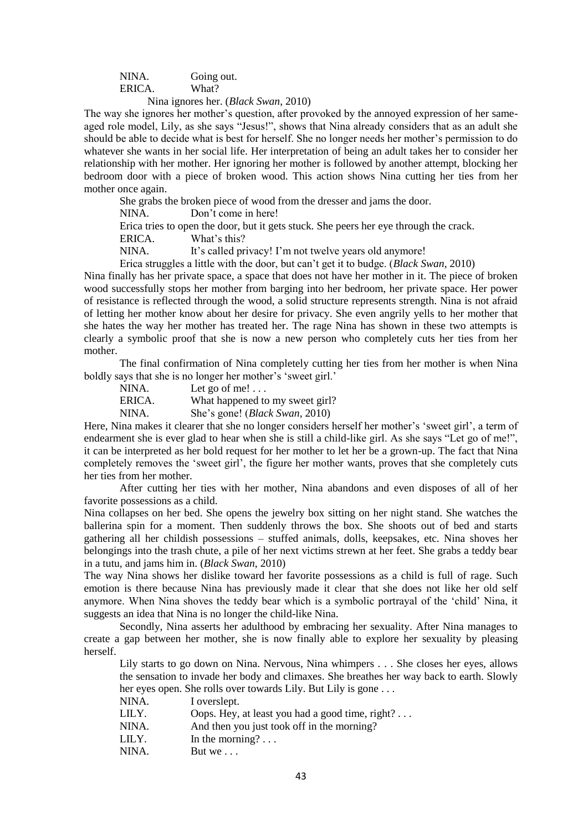NINA. Going out. ERICA. What?

Nina ignores her. (*Black Swan*, 2010)

The way she ignores her mother's question, after provoked by the annoyed expression of her sameaged role model, Lily, as she says "Jesus!", shows that Nina already considers that as an adult she should be able to decide what is best for herself. She no longer needs her mother's permission to do whatever she wants in her social life. Her interpretation of being an adult takes her to consider her relationship with her mother. Her ignoring her mother is followed by another attempt, blocking her bedroom door with a piece of broken wood. This action shows Nina cutting her ties from her mother once again.

She grabs the broken piece of wood from the dresser and jams the door.

NINA. Don't come in here!

Erica tries to open the door, but it gets stuck. She peers her eye through the crack.

ERICA. What's this?

NINA. It's called privacy! I'm not twelve years old anymore!

Erica struggles a little with the door, but can't get it to budge. (*Black Swan*, 2010)

Nina finally has her private space, a space that does not have her mother in it. The piece of broken wood successfully stops her mother from barging into her bedroom, her private space. Her power of resistance is reflected through the wood, a solid structure represents strength. Nina is not afraid of letting her mother know about her desire for privacy. She even angrily yells to her mother that she hates the way her mother has treated her. The rage Nina has shown in these two attempts is clearly a symbolic proof that she is now a new person who completely cuts her ties from her mother.

The final confirmation of Nina completely cutting her ties from her mother is when Nina boldly says that she is no longer her mother's 'sweet girl.'

| NINA.  | Let go of me!                           |
|--------|-----------------------------------------|
| ERICA. | What happened to my sweet girl?         |
| NINA.  | She's gone! ( <i>Black Swan</i> , 2010) |

Here, Nina makes it clearer that she no longer considers herself her mother's 'sweet girl', a term of endearment she is ever glad to hear when she is still a child-like girl. As she says "Let go of me!", it can be interpreted as her bold request for her mother to let her be a grown-up. The fact that Nina completely removes the 'sweet girl', the figure her mother wants, proves that she completely cuts her ties from her mother.

After cutting her ties with her mother, Nina abandons and even disposes of all of her favorite possessions as a child.

Nina collapses on her bed. She opens the jewelry box sitting on her night stand. She watches the ballerina spin for a moment. Then suddenly throws the box. She shoots out of bed and starts gathering all her childish possessions – stuffed animals, dolls, keepsakes, etc. Nina shoves her belongings into the trash chute, a pile of her next victims strewn at her feet. She grabs a teddy bear in a tutu, and jams him in. (*Black Swan*, 2010)

The way Nina shows her dislike toward her favorite possessions as a child is full of rage. Such emotion is there because Nina has previously made it clear that she does not like her old self anymore. When Nina shoves the teddy bear which is a symbolic portrayal of the 'child' Nina, it suggests an idea that Nina is no longer the child-like Nina.

Secondly, Nina asserts her adulthood by embracing her sexuality. After Nina manages to create a gap between her mother, she is now finally able to explore her sexuality by pleasing herself.

Lily starts to go down on Nina. Nervous, Nina whimpers . . . She closes her eyes, allows the sensation to invade her body and climaxes. She breathes her way back to earth. Slowly her eyes open. She rolls over towards Lily. But Lily is gone ...

| NINA. | I overslept.                                    |
|-------|-------------------------------------------------|
| LILY. | Oops. Hey, at least you had a good time, right? |
| NINA. | And then you just took off in the morning?      |
| LILY. | In the morning? $\dots$                         |
| NINA. | But we $\ldots$                                 |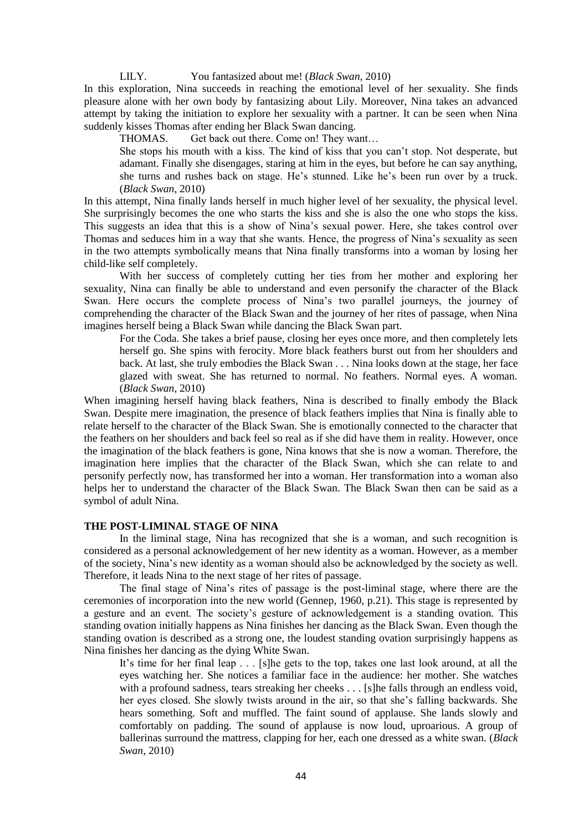LILY. You fantasized about me! (*Black Swan*, 2010)

In this exploration, Nina succeeds in reaching the emotional level of her sexuality. She finds pleasure alone with her own body by fantasizing about Lily. Moreover, Nina takes an advanced attempt by taking the initiation to explore her sexuality with a partner. It can be seen when Nina suddenly kisses Thomas after ending her Black Swan dancing.

THOMAS. Get back out there. Come on! They want…

She stops his mouth with a kiss. The kind of kiss that you can't stop. Not desperate, but adamant. Finally she disengages, staring at him in the eyes, but before he can say anything, she turns and rushes back on stage. He's stunned. Like he's been run over by a truck. (*Black Swan*, 2010)

In this attempt, Nina finally lands herself in much higher level of her sexuality, the physical level. She surprisingly becomes the one who starts the kiss and she is also the one who stops the kiss. This suggests an idea that this is a show of Nina's sexual power. Here, she takes control over Thomas and seduces him in a way that she wants. Hence, the progress of Nina's sexuality as seen in the two attempts symbolically means that Nina finally transforms into a woman by losing her child-like self completely.

With her success of completely cutting her ties from her mother and exploring her sexuality, Nina can finally be able to understand and even personify the character of the Black Swan. Here occurs the complete process of Nina's two parallel journeys, the journey of comprehending the character of the Black Swan and the journey of her rites of passage, when Nina imagines herself being a Black Swan while dancing the Black Swan part.

For the Coda. She takes a brief pause, closing her eyes once more, and then completely lets herself go. She spins with ferocity. More black feathers burst out from her shoulders and back. At last, she truly embodies the Black Swan . . . Nina looks down at the stage, her face glazed with sweat. She has returned to normal. No feathers. Normal eyes. A woman. (*Black Swan*, 2010)

When imagining herself having black feathers, Nina is described to finally embody the Black Swan. Despite mere imagination, the presence of black feathers implies that Nina is finally able to relate herself to the character of the Black Swan. She is emotionally connected to the character that the feathers on her shoulders and back feel so real as if she did have them in reality. However, once the imagination of the black feathers is gone, Nina knows that she is now a woman. Therefore, the imagination here implies that the character of the Black Swan, which she can relate to and personify perfectly now, has transformed her into a woman. Her transformation into a woman also helps her to understand the character of the Black Swan. The Black Swan then can be said as a symbol of adult Nina.

# **THE POST-LIMINAL STAGE OF NINA**

In the liminal stage, Nina has recognized that she is a woman, and such recognition is considered as a personal acknowledgement of her new identity as a woman. However, as a member of the society, Nina's new identity as a woman should also be acknowledged by the society as well. Therefore, it leads Nina to the next stage of her rites of passage.

The final stage of Nina's rites of passage is the post-liminal stage, where there are the ceremonies of incorporation into the new world (Gennep, 1960, p.21). This stage is represented by a gesture and an event. The society's gesture of acknowledgement is a standing ovation. This standing ovation initially happens as Nina finishes her dancing as the Black Swan. Even though the standing ovation is described as a strong one, the loudest standing ovation surprisingly happens as Nina finishes her dancing as the dying White Swan.

It's time for her final leap . . . [s]he gets to the top, takes one last look around, at all the eyes watching her. She notices a familiar face in the audience: her mother. She watches with a profound sadness, tears streaking her cheeks . . . [s]he falls through an endless void, her eyes closed. She slowly twists around in the air, so that she's falling backwards. She hears something. Soft and muffled. The faint sound of applause. She lands slowly and comfortably on padding. The sound of applause is now loud, uproarious. A group of ballerinas surround the mattress, clapping for her, each one dressed as a white swan. (*Black Swan*, 2010)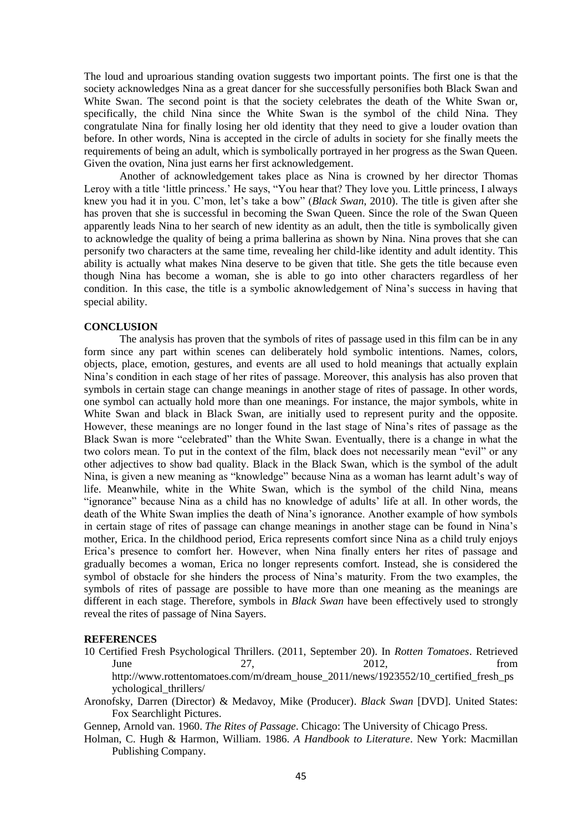The loud and uproarious standing ovation suggests two important points. The first one is that the society acknowledges Nina as a great dancer for she successfully personifies both Black Swan and White Swan. The second point is that the society celebrates the death of the White Swan or, specifically, the child Nina since the White Swan is the symbol of the child Nina. They congratulate Nina for finally losing her old identity that they need to give a louder ovation than before. In other words, Nina is accepted in the circle of adults in society for she finally meets the requirements of being an adult, which is symbolically portrayed in her progress as the Swan Queen. Given the ovation, Nina just earns her first acknowledgement.

Another of acknowledgement takes place as Nina is crowned by her director Thomas Leroy with a title 'little princess.' He says, "You hear that? They love you. Little princess, I always knew you had it in you. C'mon, let's take a bow" (*Black Swan*, 2010). The title is given after she has proven that she is successful in becoming the Swan Queen. Since the role of the Swan Queen apparently leads Nina to her search of new identity as an adult, then the title is symbolically given to acknowledge the quality of being a prima ballerina as shown by Nina. Nina proves that she can personify two characters at the same time, revealing her child-like identity and adult identity. This ability is actually what makes Nina deserve to be given that title. She gets the title because even though Nina has become a woman, she is able to go into other characters regardless of her condition. In this case, the title is a symbolic aknowledgement of Nina's success in having that special ability.

# **CONCLUSION**

The analysis has proven that the symbols of rites of passage used in this film can be in any form since any part within scenes can deliberately hold symbolic intentions. Names, colors, objects, place, emotion, gestures, and events are all used to hold meanings that actually explain Nina's condition in each stage of her rites of passage. Moreover, this analysis has also proven that symbols in certain stage can change meanings in another stage of rites of passage. In other words, one symbol can actually hold more than one meanings. For instance, the major symbols, white in White Swan and black in Black Swan, are initially used to represent purity and the opposite. However, these meanings are no longer found in the last stage of Nina's rites of passage as the Black Swan is more "celebrated" than the White Swan. Eventually, there is a change in what the two colors mean. To put in the context of the film, black does not necessarily mean "evil" or any other adjectives to show bad quality. Black in the Black Swan, which is the symbol of the adult Nina, is given a new meaning as "knowledge" because Nina as a woman has learnt adult's way of life. Meanwhile, white in the White Swan, which is the symbol of the child Nina, means "ignorance" because Nina as a child has no knowledge of adults' life at all. In other words, the death of the White Swan implies the death of Nina's ignorance. Another example of how symbols in certain stage of rites of passage can change meanings in another stage can be found in Nina's mother, Erica. In the childhood period, Erica represents comfort since Nina as a child truly enjoys Erica's presence to comfort her. However, when Nina finally enters her rites of passage and gradually becomes a woman, Erica no longer represents comfort. Instead, she is considered the symbol of obstacle for she hinders the process of Nina's maturity. From the two examples, the symbols of rites of passage are possible to have more than one meaning as the meanings are different in each stage. Therefore, symbols in *Black Swan* have been effectively used to strongly reveal the rites of passage of Nina Sayers.

#### **REFERENCES**

- 10 Certified Fresh Psychological Thrillers. (2011, September 20). In *Rotten Tomatoes*. Retrieved June 27, 2012, from http://www.rottentomatoes.com/m/dream\_house\_2011/news/1923552/10\_certified\_fresh\_ps ychological\_thrillers/
- Aronofsky, Darren (Director) & Medavoy, Mike (Producer). *Black Swan* [DVD]. United States: Fox Searchlight Pictures.
- Gennep, Arnold van. 1960. *The Rites of Passage*. Chicago: The University of Chicago Press.
- Holman, C. Hugh & Harmon, William. 1986. *A Handbook to Literature*. New York: Macmillan Publishing Company.